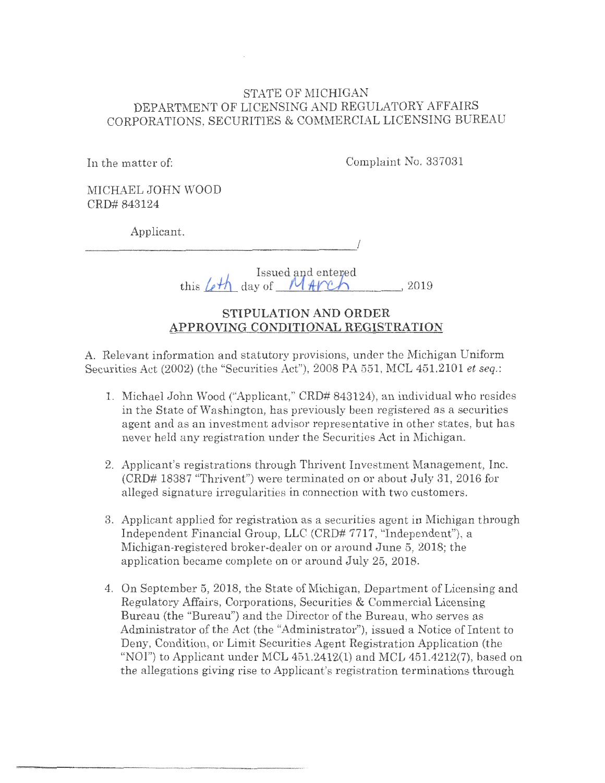### STATE OF MICHIGAN DEPARTMENT OF LICENSING AND REGULATORY AFFAIRS CORPORATIONS, SECURITIES & COMMERCIAL LICENSING BUREAU

In the matter of:

Complaint No. 337031

MICHAEL JOHN WOOD CRD# 843124

Applicant.

*\_\_\_\_\_ \_ \_ \_\_\_\_\_\_\_\_\_\_\_\_\_\_ !* 

<sup>1</sup><sub>1</sub><sup>1</sup> Issued and entered this *.fL!1l\_* day of **-----'f'--' Vl'-'lt...\_,** ~-""""'--'-- - --' 2019

### **STIPULATION AND ORDER APPROVING CONDITIONAL REGISTRATION**

A. Relevant information and statutory provisions, under the Michigan Uniform Securities Act (2002) (the "Securities Act"), 2008 PA 551, MCL 451.2101 *et seq.*:

- 1. Michael John Wood ("Applicant," CRD# 843124), an individual who resides in the State of Washington, has previously been registered as a securities agent and as an investment advisor representative in other states, but has never held any registration under the Securities Act in Michigan.
- 2. Applicant's registrations through Thrivent Investment Management, Inc.  $(CRD# 18387$  "Thrivent") were terminated on or about July 31, 2016 for alleged signature irregularities in connection with two customers.
- 3. Applicant applied for registration as a securities agent in Michigan through Jndependent Financial Group, LLC (CRD# 7717, "Independent"), a Michigan-registered broker-dealer on or around June 5, 2018; the application became complete on or around July 25, 2018.
- 4. On September 5, 2018, the State of Michigan, Department of Licensing and Regulatory Affairs, Corporations, Securities & Commercial Licensing Bureau (the "Bureau") and the Director of the Bureau, who serves as Administrator of the Act (the "Administrator"), issued a Notice of Intent to Deny, Condition, or Limit Securities Agent Registration Application (the "NOI") to Applicant under MCL  $451.2412(1)$  and MCL  $451.4212(7)$ , based on the allegations giving rise to Applicant's registration terminations through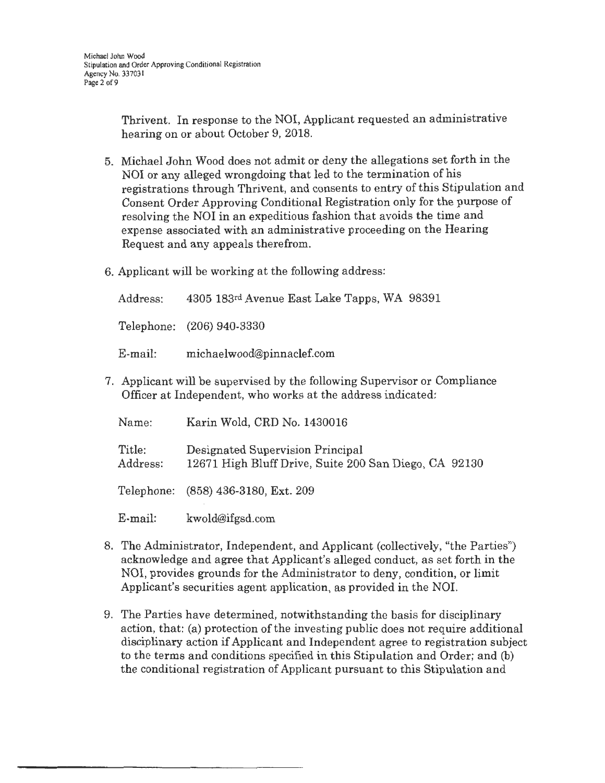Thrivent. In response to the NOI, Applicant requested an administrative hearing on or about October 9, 2018.

- 5. Michael John Wood does not admit or deny the allegations set forth in the NOI or any alleged wrongdoing that led to the termination of his registrations through Thrivent, and consents to entry of this Stipulation and Consent Order Approving Conditional Registration only for the purpose of resolving the NOI in an expeditious fashion that avoids the time and expense associated with an administrative proceeding on the Hearing Request and any appeals therefrom.
- 6. Applicant will be working at the following address:

| Address:                                                        | 4305 183rd Avenue East Lake Tapps, WA 98391 |  |  |  |
|-----------------------------------------------------------------|---------------------------------------------|--|--|--|
|                                                                 | Telephone: (206) 940-3330                   |  |  |  |
| E-mail:                                                         | michaelwood@pinnaclef.com                   |  |  |  |
| Applicant will be supervised by the following Supervisor or Con |                                             |  |  |  |

7. Applicant will be supervised by the following Supervisor or Compliance Officer at Independent, who works at the address indicated:

| Name:              | Karin Wold, CRD No. 1430016                                                               |  |  |
|--------------------|-------------------------------------------------------------------------------------------|--|--|
| Title:<br>Address: | Designated Supervision Principal<br>12671 High Bluff Drive, Suite 200 San Diego, CA 92130 |  |  |
|                    | Telephone: (858) 436-3180, Ext. 209                                                       |  |  |
| E-mail:            | kwold@ifgsd.com                                                                           |  |  |

- 8. The Administrator, Independent, and Applicant (collectively, "the Parties") acknowledge and agree that Applicant's alleged conduct, as set forth in the NOI, provides grounds for the Administrator to deny, condition, or limit Applicant's securities agent application, as provided in the NOI.
- 9. The Parties have determined, notwithstanding the basis for disciplinary action, that: (a) protection of the investing public does not require additional disciplinary action if Applicant and Independent agree to registration subject to the terms and conditions specified in this Stipulation and Order; and (b) the conditional registration of Applicant pursuant to this Stipulation and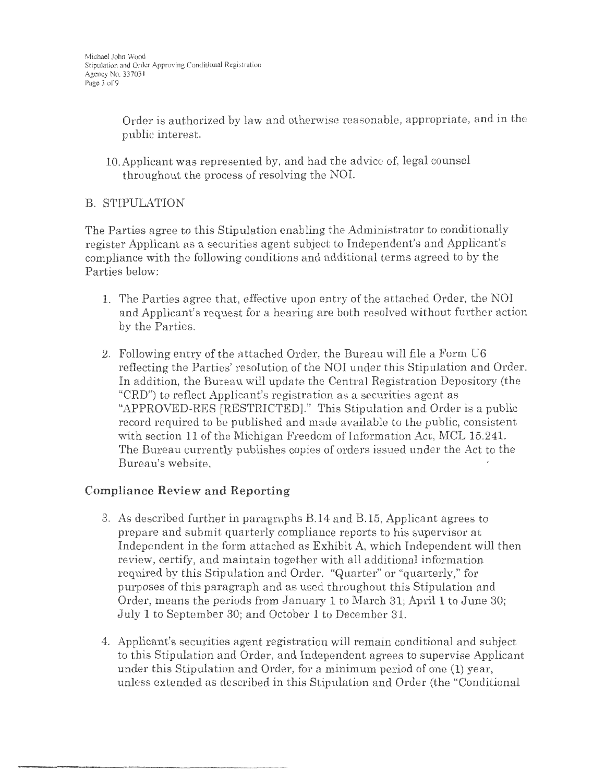Order is authorized by law and otherwise reasonable, appropriate, and in the public interest.

10.Applicant was represented by, and had the advice of, legal counsel throughout the process of resolving the NOL

# B. STIPULATION

The Parties agree to this Stipulation enabling the Administrator to conditionally register Applicant as a securities agent subject to Independent's and Applicant's compliance with the following conditions and additional terms agreed to by the Parties below:

- L The Parties agree that, effective upon entry of the attached Order, the NOI and Applicant's request for a hearing are both resolved without further action by the Parties.
- 2. Following entry of the attached Order, the Bureau will file a Form U6 reflecting the Parties' resolution of the NOI under this Stipulation and Order. In addition, the Bureau will update the Central Registration Depository (the "CRD") to reflect Applicant's registration as a securities agent as "APPROVED-RES [RESTRICTED]." This Stipulation and Order is a public record required to be published and made available to the public, consistent with section 11 of the Michigan Freedom of Information Act, MCL 15.241. The Bureau currently publishes copies of orders issued under the Act to the Bureau's website.

# **Compliance Review and Reporting**

- 3. As described further in paragraphs B.14 and B.15, Applicant agrees to prepare and submit quarterly compliance reports to his supervisor at Independent in the form attached as Exhibit A, which Independent will then review, certify, and maintain together with all additional information required by this Stipulation and Order. "Quarter'' or "quarterly," for purposes of this paragraph and as used throughout this Stipulation and Order, means the periods from January 1 to March 31; April 1 to June 30; July **1** to September 30; and October **1** to December 31.
- 4. Applicant's securities agent registration will remain conditional and subject to this Stipulation and Order, and Independent agrees to supervise Applicant under this Stipulation and Order, for a minimum period of one (1) year, unless extended as described in this Stipulation and Order (the "Conditional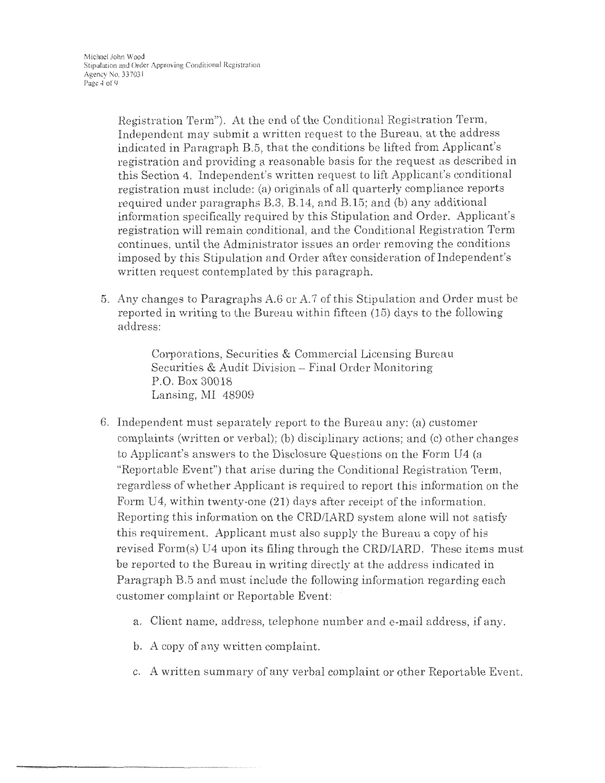Registration Term"). At the end of the Conditional Registration Term, Independent may submit a written request to the Bureau, at the address indicated in Paragraph B.5, that the conditions be lifted from Applicant's registration and providing a reasonable basis for the request as described in this Section 4. Independent's written request to lift Applicant's conditional registration must include: (a) originals of all quarterly compliance reports required under paragraphs B.3, B.14, and B.15; and (b) any additional information specifically required by this Stipulation and Order. Applicant's registration will remain conditional, and the Conditional Registration Term continues, until the Administrator issues an order removing the conditions imposed by this Stipulation and Order after consideration of Independent's written request contemplated by this paragraph.

5. Any changes to Paragraphs A.6 or A.7 of this Stipulation and Order must be reported in writing to the Bureau within fifteen (15) days to the following address:

> Corporations, Securities & Commercial Licensing Bureau Securities & Audit Division - Final Order Monitoring P.O. Box 30018 Lansing, MI 48909

- 6. Independent must separately report to the Bureau any: (a) customer complaints (written or verbal); (b) disciplinary actions; and (c) other changes to Applicant's answers to the Disclosure Questions on the Form U4 (a "Reportable Event") that arise during the Conditional Registration Term, regardless of whether Applicant is required to report this information on the Form U4, within twenty-one (21) days after receipt of the information. Reporting this information on the CRD/IARD system alone will not satisfy this requirement. Applicant must also supply the Bureau a copy of bis revised Form(s) U4 upon its filing through the CRD/IARD. These items must be reported to the Bureau in writing directly at the address indicated in Paragraph B.5 and must include the following information regarding each customer complaint or Reportable Event:
	- a. Client name, address, telephone number and e-mail address, if any.
	- b. A copy of any written complaint.
	- c. A written summary of any verbal complaint or other Reportable Event.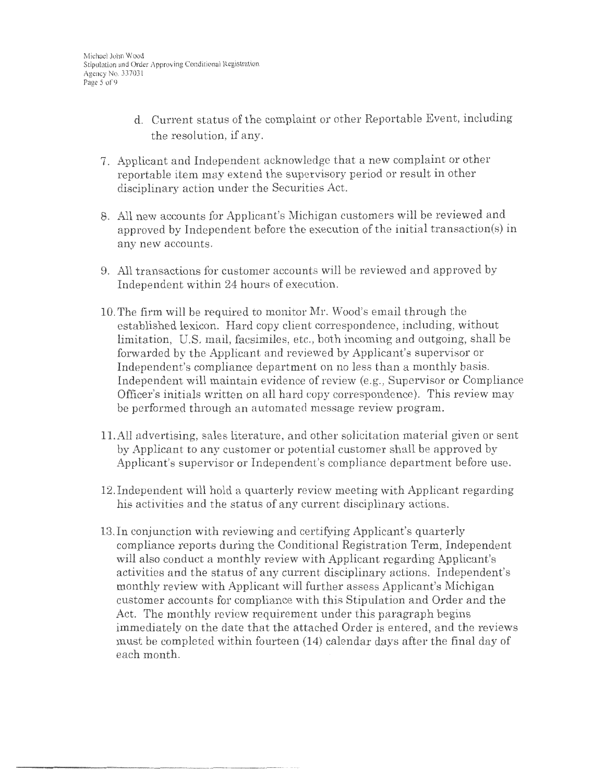- d. Current status of the complaint or other Reportable Event, including the resolution, if any.
- 7. Applicant and Independent acknowledge that a new complaint or other reportable item may extend the supervisory period or result in other disciplinary action under the Securities Act.
- 8. All new accounts for Applicant's Michigan customers will be reviewed and approved by Independent before the execution of the initial transaction(s) in any new accounts.
- 9. All transactions for customer accounts will be reviewed and approved by Independent within 24 hours of execution.
- 10. The firm will be required to monitor Mr. Wood's email through the established lexicon. Hard copy client correspondence, including, without limitation, U.S. mail, facsimiles, etc., both incoming and outgoing, shall be forwarded by the Applicant and reviewed by Applicant's supervisor or Independent's compliance department on no less than a monthly basis. Independent will maintain evidence of review (e.g., Supervisor or Compliance Officer's initials written on all hard copy correspondence). This review may be performed through an automated message review program.
- 11.All advertising, sales literature, and other solicitation material given or sent by Applicant to any customer or potential customer shall be approved by Applicant's supervisor or Independent's compliance department before use.
- 12. Independent will hold a quarterly review meeting with Applicant regarding his activities and the status of any current disciplinary actions.
- 13. In conjunction with reviewing and certifying Applicant's quarterly compliance reports during the Conditional Registration Term, Independent will also conduct a monthly review with Applicant regarding Applicant's activities and the status of any current disciplinary actions. Independent's monthly review with Applicant will further assess Applicant's Michigan customer accounts for compliance with this Stipulation and Order and the Act. The monthly review requirement under this paragraph begins immediately on the date that the attached Order is entered, and the reviews must be completed within fourteen (14) calendar days after the final day of each month.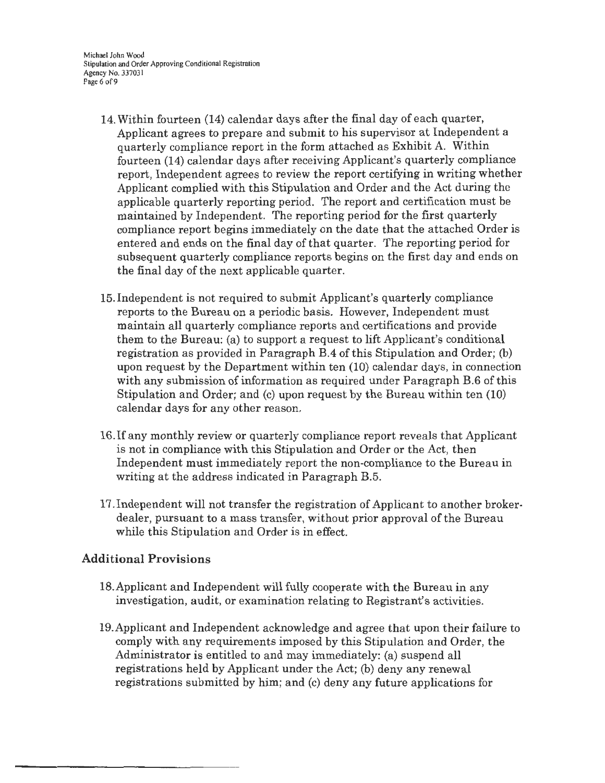Michael John Wood Stipulation and Order Approving Conditional Registration Agency No. 337031 Page 6 of 9

- 14. Within fourteen (14) calendar days after the final day of each quarter, Applicant agrees to prepare and submit to his supervisor at Independent a quarterly compliance report in the form attached as Exhibit A. Within fourteen (14) calendar days after receiving Applicant's quarterly compliance report, Independent agrees to review the report certifying in writing whether Applicant complied with this Stipulation and Order and the Act during the applicable quarterly reporting period. The report and certification must be maintained by Independent. The reporting period for the first quarterly compliance report begins immediately on the date that the attached Order is entered and ends on the final day of that quarter. The reporting period for subsequent quarterly compliance reports begins on the first day and ends on the final day of the next applicable quarter.
- 15. Independent is not required to submit Applicant's quarterly compliance reports to the Bureau on a periodic basis. However, Independent must maintain all quarterly compliance reports and certifications and provide them to the Bureau: (a) to support a request to lift Applicant's conditional registration as provided in Paragraph B.4 of this Stipulation and Order; (b) upon request by the Department within ten (10) calendar days, in connection with any submission of information as required under Paragraph B.6 of this Stipulation and Order; and (c) upon request by the Bureau within ten (10) calendar days for any other reason.
- 16. If any monthly review or quarterly compliance report reveals that Applicant is not in compliance with this Stipulation and Order or the Act, then Independent must immediately report the non-compliance to the Bureau in writing at the address indicated in Paragraph B.5.
- 17. Independent will not transfer the registration of Applicant to another brokerdealer, pursuant to a mass transfer, without prior approval of the Bureau while this Stipulation and Order is in effect.

### **Additional Provisions**

- 18.Applicant and Independent will fully cooperate with the Bureau in any investigation, audit, or examination relating to Registrant's activities.
- 19.Applicant and Independent acknowledge and agree that upon their failure to comply with any requirements imposed by this Stipulation and Order, the Administrator is entitled to and may immediately: (a) suspend all registrations held by Applicant under the Act; (b) deny any renewal registrations submitted by him; and (c) deny any future applications for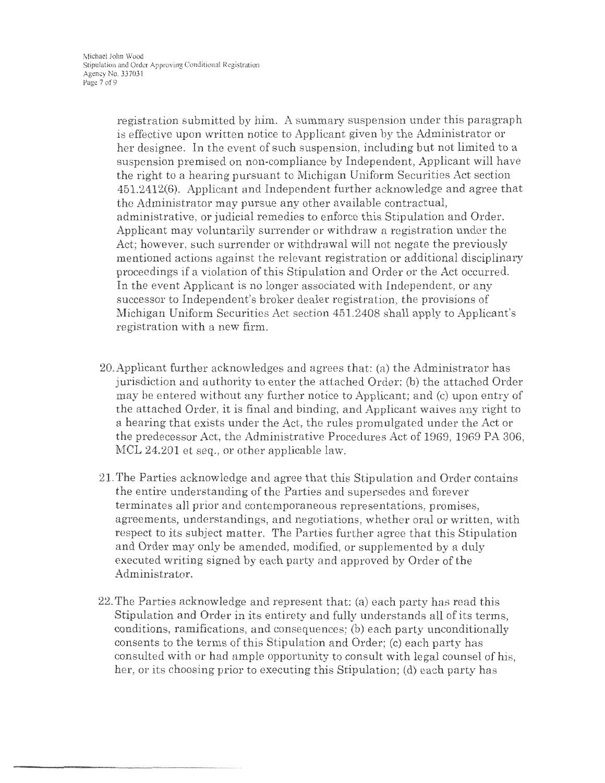registration submitted by him. A summary suspension under this paragraph is effective upon written notice to Applicant given by the Administrator or her designee. In the event of such suspension, including but not limited to a suspension premised on non-compliance by Independent, Applicant will have the right to a hearing pursuant to Michigan Uniform Securities Act section 451.2412(6). Applicant and Independent further acknowledge and agree that the Administrator may pursue any other available contractual, administrative, or judicial remedies to enforce this Stipulation and Order. Applicant may voluntarily surrender or withdraw a registration under the Act; however, such surrender or withdrawal will not negate the previously mentioned actions against the relevant registration or additional disciplinary proceedings if a violation of this Stipulation and Order or the Act occurred. In the event Applicant is no longer associated with Independent, or any successor to Independent's broker dealer registration, the provisions of Michigan Uniform Securities Act section 451.2408 shall apply to Applicant's registration with a new firm.

- 20.Applicant further acknovvledges and agrees that: (a) the Administrator has jurisdiction and authority to enter the attached Order; (b) the attached Order may be entered without any further notice to Applicant; and (c) upon entry of the attached Order, it is final and binding, and Applicant waives any right to a hearing that exists under the Act, the rules promulgated under the Act or the predecessor Act, the Administrative Procedures Act of 1969, 1969 PA 306, MCL 24.201 et seq., or other applicable law.
- 21. The Parties acknowledge and agree that this Stipulation and Order contains the entire understanding of the Parties and supersedes and forever terminates all prior and contemporaneous representations, promises, agreements, understandings, and negotiations, whether oral or written, with respect to its subject matter. The Parties further agree that this Stipulation and Order may only be amended, modified, or supplemented by a duly executed writing signed by each party and approved by Order of the Administrator.
- 22. The Parties acknowledge and represent that: (a) each party has read this Stipulation and Order in its entirety and fully understands all of its terms, conditions, ramifications, and consequences; (b) each party unconditionally consents to the terms of this Stipulation and Order; (c) each party has consulted with or had ample opportunity to consult with legal counsel of his, her, or its choosing prior to executing this Stipulation; (d) each party has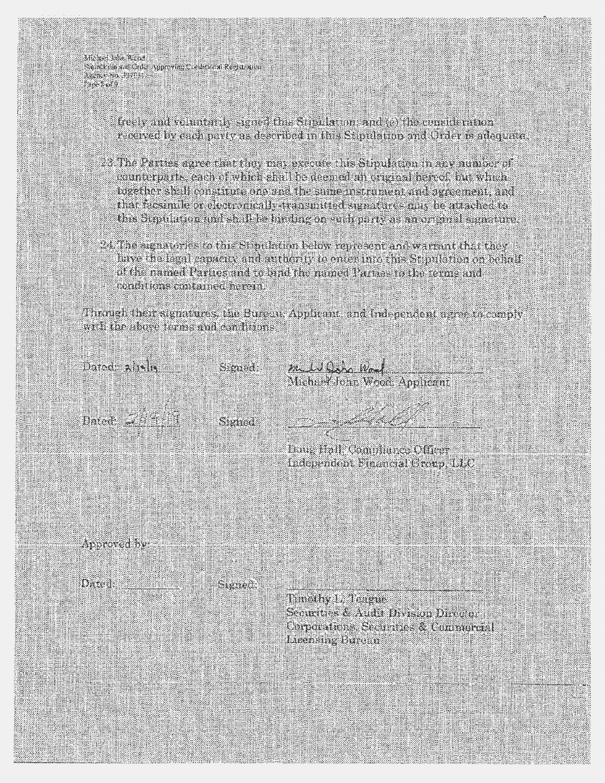Michael Infection Saind on and Order Approving Construction Registration Anno en Banco **BARBO** 

> freely and veluntarily signed this Streaktupn, and (e) this consideration received by each party as described in this Supulation and Order is adequate.

- 23 The Parties agree that they may execute this Stipulation in any number of connection the each of which shall be deemed an original hereof, but which together shall constitute one and the same instrument and agreement, and that resimile or electronically-transmitted signatures may be attached to this faiptifican and shall be turding on such parts as an original signature.
- 24. The signatories to this Stindktion below represent and warrant that they have the legal capacity and authority to enter this Still and on behalf of the named Parties and to bind the maned Parties to the terms and Could tons contained herein.

Through their signatures, the Bureau Applicant and Independent agree to comply with the above terms and conflicits.

Darock Al Ch

Smid

m to Osh Wood<br>Michael John Wood Applicant

 $D_{\text{A}}$  and  $D_{\text{A}}$ 

Signad

Dong Hall Communica Officer Independent Financial Creup, LLC

Approved by:

Dated: Signed:

Timathy is Teacher Securities & Andri Division Director Corporations Securities & Communical Linensing Hurcut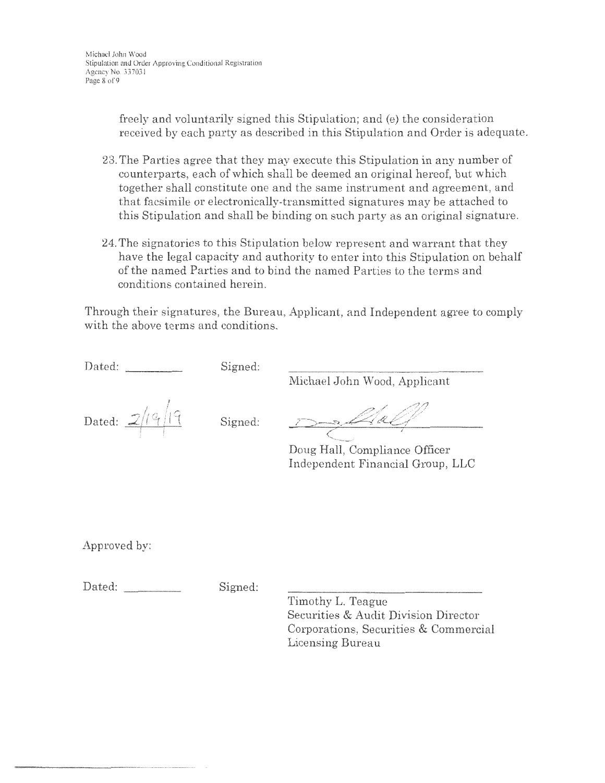freely and voluntarily signed this Stipulation; and (e) the consideration received by each party as described in this Stipulation and Order is adequate.

- 23. The Parties agree that they may execute this Stipulation in any number of counterparts, each of which shall be deemed an original hereof, but which together shall constitute one and the same instrument and agreement, and that facsimile or electronically-transmitted signatures may be attached to this Stipulation and shall be binding on such party as an original signature.
- 24. The signatories to this Stipulation below represent and warrant that they have the legal capacity and authority to enter into this Stipulation on behalf of the named Parties and to bind the named Parties to the terms and conditions contained herein.

Through their signatures, the Bureau, Applicant, and Independent agree to comply with the above terms and conditions.

Dated: Signed:

Michael John Wood, Applicant

Dated:  $2/19/19$  Signed:

D , Mac

Doug Hall, Compliance Officer Independent Financial Group, LLC

Approved by:

Dated: Signed:

Timothy L. Teague Securities & Audit Division Director Corporations, Securities & Commercial Licensing Bureau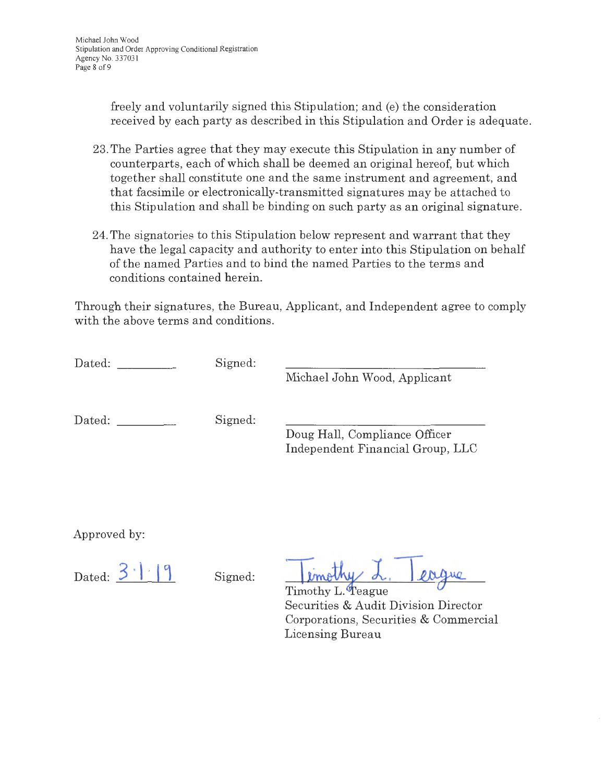freely and voluntarily signed this Stipulation; and (e) the consideration received by each party as described in this Stipulation and Order is adequate.

- 23. The Parties agree that they may execute this Stipulation in any number of counterparts, each of which shall be deemed an original hereof, but which together shall constitute one and the same instrument and agreement, and that facsimile or electronically-transmitted signatures may be attached to this Stipulation and shall be binding on such party as an original signature.
- 24. The signatories to this Stipulation below represent and warrant that they have the legal capacity and authority to enter into this Stipulation on behalf of the named Parties and to bind the named Parties to the terms and conditions contained herein.

Through their signatures, the Bureau, Applicant, and Independent agree to comply with the above terms and conditions.

| Dated: | Signed: | Michael John Wood, Applicant                                      |
|--------|---------|-------------------------------------------------------------------|
| Dated: | Signed: | Doug Hall, Compliance Officer<br>Independent Financial Group, LLC |

Approved by:

Dated:  $3 \cdot | \cdot | 9$  Signed:

**imothy** d. eague

Timothy L. Teague Securities & Audit Division Director Corporations, Securities & Commercial Licensing Bureau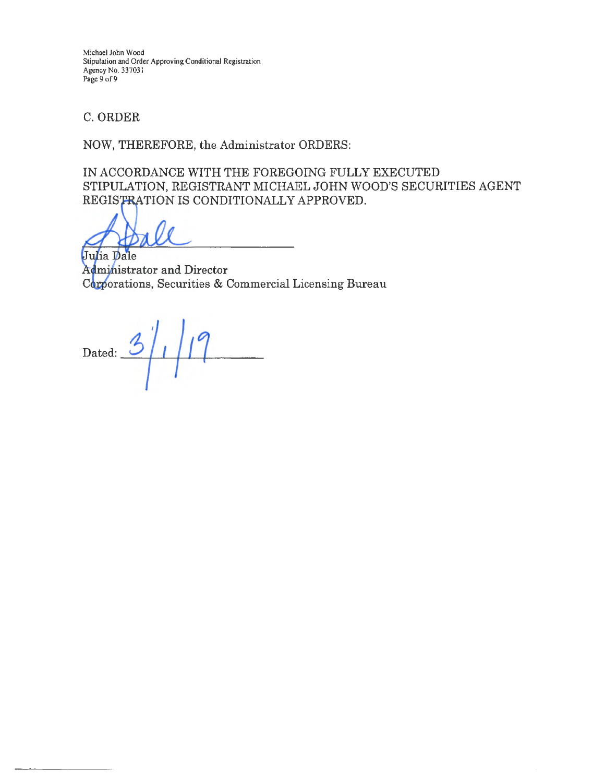Michael John Wood Stipulation and Order Approving Conditional Registration Agency No. 337031 Page 9 of 9

C. ORDER

NOW, THEREFORE, the Administrator ORDERS:

IN ACCORDANCE WITH THE FOREGOING FULLY EXECUTED STIPULATION, REGISTRANT MICHAEL JOHN WOOD'S SECURITIES AGENT REGISTRATION IS CONDITIONALLY APPROVED.

Julia Dale Administrator and Director Corporations, Securities & Commercial Licensing Bureau

Dated:  $3/1/19$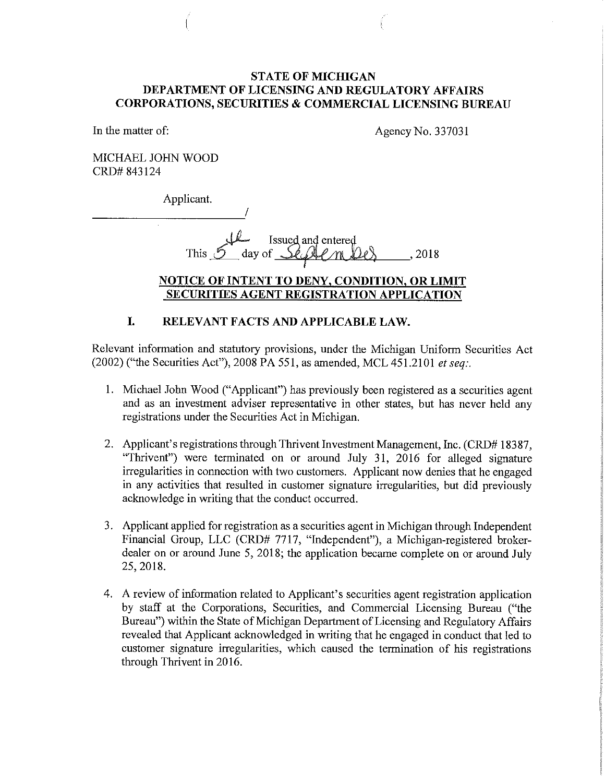#### **STATE OF MICHIGAN DEPARTMENT OF LICENSING AND REGULATORY AFFAIRS CORPORATIONS, SECURITIES & COMMERCIAL LICENSING BUREAU**

In the matter of:

Agency No. 337031

MICHAEL JOHN WOOD CRD# 843124

Applicant.

*is*  $\overline{u}$  Issued and entered This  $S$  day of  $S$  and  $M$  the set of  $\sim$  18

### **NOTICE OF INTENT TO DENY, CONDITION, OR LIMIT SECURITIES AGENT REGISTRATION APPLICATION**

# **I. RELEVANT FACTS AND APPLICABLE LAW.**

Relevant information and statutory provisions, under the Michigan Uniform Securities Act (2002) ("the Securities Act"), 2008 PA 551, as amended, MCL 451.2101 *et seq:.* 

- 1. Michael John Wood ("Applicant") has previously been registered as a securities agent and as an investment adviser representative in other states, but has never held any registrations under the Securities Act in Michigan.
- 2. Applicant's registrations through Thrivent Investment Management, Inc. (CRD# 183 87, "Thrivent") were terminated on or around July 31, 2016 for alleged signature irregularities in connection with two customers. Applicant now denies that he engaged in any activities that resulted in customer signature irregularities, but did previously acknowledge in writing that the conduct occurred.
- 3. Applicant applied for registration as a securities agent in Michigan through Independent Financial Group, LLC (CRD# 7717, "Independent"), a Michigan-registered brokerdealer on or around June 5, 2018; the application became complete on or around July 25, 2018.
- 4. A review of information related to Applicant's securities agent registration application by staff at the Corporations, Securities, and Commercial Licensing Bureau ("the Bureau") within the State of Michigan Department of Licensing and Regulatory Affairs revealed that Applicant acknowledged in writing that he engaged in conduct that led to customer signature irregularities, which caused the termination of his registrations through Thrivent in 2016.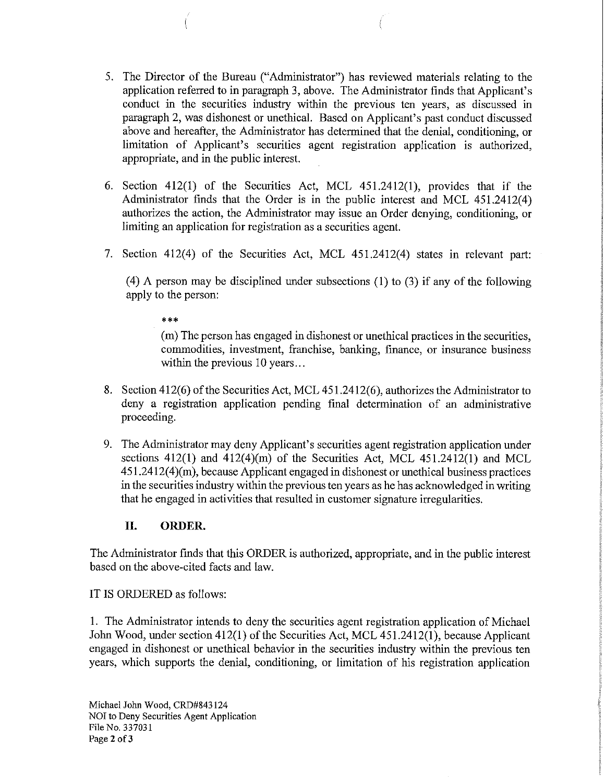- 5. The Director of the Bureau ("Administrator") has reviewed materials relating to the application referred to in paragraph 3, above. The Administrator finds that Applicant's conduct in the securities industry within the previous ten years, as discussed in paragraph 2, was dishonest or unethical. Based on Applicant's past conduct discussed above and hereafter, the Administrator has determined that the denial, conditioning, or limitation of Applicant's securities agent registration application is authorized, appropriate, and in the public interest.
- 6. Section 412(1) of the Securities Act, MCL 451.2412(1), provides that if the Administrator finds that the Order is in the public interest and MCL 451.2412(4) authorizes the action, the Administrator may issue an Order denying, conditioning, or limiting an application for registration as a securities agent.
- 7. Section 412(4) of the Securities Act, MCL 451.2412(4) states in relevant part:

(4) A person may be disciplined under subsections (1) to (3) if any of the following apply to the person:

\*\*\*

(m) The person has engaged in dishonest or unethical practices in the securities, commodities, investment, franchise, banking, finance, or insurance business within the previous 10 years...

- 8. Section 412(6) of the Securities Act, MCL 451.2412(6), authorizes the Administrator to deny a registration application pending final determination of an administrative proceeding.
- 9. The Administrator may deny Applicant's securities agent registration application under sections  $412(1)$  and  $412(4)(m)$  of the Securities Act, MCL  $451.2412(1)$  and MCL  $451.2412(4)(m)$ , because Applicant engaged in dishonest or unethical business practices in the securities industry within the previous ten years as he has acknowledged in writing that he engaged in activities that resulted in customer signature irregularities.

### **II. ORDER.**

The Administrator finds that this ORDER is authorized, appropriate, and in the public interest based on the above-cited facts and law.

#### IT IS ORDERED as follows:

1. The Administrator intends to deny the securities agent registration application of Michael John Wood, under section 412(1) of the Securities Act, MCL 451.2412(1), because Applicant engaged in dishonest or unethical behavior in the securities industry within the previous ten years, which supports the denial, conditioning, or limitation of his registration application